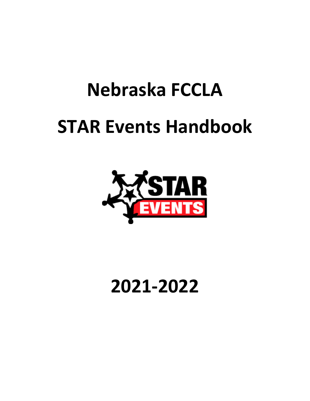# **Nebraska FCCLA STAR Events Handbook**



# **2021-2022**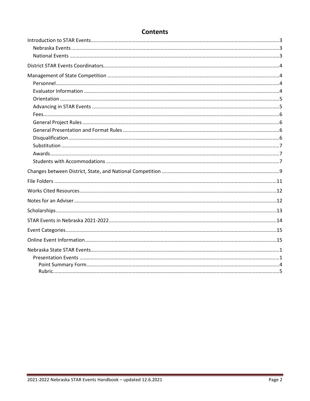| <b>Contents</b> |
|-----------------|
|-----------------|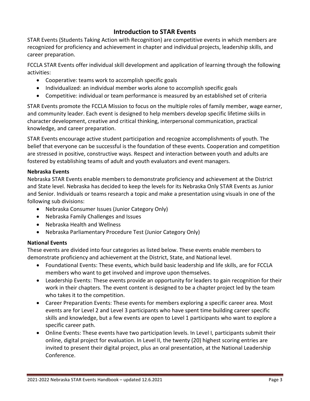#### **Introduction to STAR Events**

STAR Events (Students Taking Action with Recognition) are competitive events in which members are recognized for proficiency and achievement in chapter and individual projects, leadership skills, and career preparation.

FCCLA STAR Events offer individual skill development and application of learning through the following activities:

- Cooperative: teams work to accomplish specific goals
- Individualized: an individual member works alone to accomplish specific goals
- Competitive: individual or team performance is measured by an established set of criteria

STAR Events promote the FCCLA Mission to focus on the multiple roles of family member, wage earner, and community leader. Each event is designed to help members develop specific lifetime skills in character development, creative and critical thinking, interpersonal communication, practical knowledge, and career preparation.

STAR Events encourage active student participation and recognize accomplishments of youth. The belief that everyone can be successful is the foundation of these events. Cooperation and competition are stressed in positive, constructive ways. Respect and interaction between youth and adults are fostered by establishing teams of adult and youth evaluators and event managers.

#### **Nebraska Events**

Nebraska STAR Events enable members to demonstrate proficiency and achievement at the District and State level. Nebraska has decided to keep the levels for its Nebraska Only STAR Events as Junior and Senior. Individuals or teams research a topic and make a presentation using visuals in one of the following sub divisions:

- Nebraska Consumer Issues (Junior Category Only)
- Nebraska Family Challenges and Issues
- Nebraska Health and Wellness
- Nebraska Parliamentary Procedure Test (Junior Category Only)

#### **National Events**

These events are divided into four categories as listed below. These events enable members to demonstrate proficiency and achievement at the District, State, and National level.

- Foundational Events: These events, which build basic leadership and life skills, are for FCCLA members who want to get involved and improve upon themselves.
- Leadership Events: These events provide an opportunity for leaders to gain recognition for their work in their chapters. The event content is designed to be a chapter project led by the team who takes it to the competition.
- Career Preparation Events: These events for members exploring a specific career area. Most events are for Level 2 and Level 3 participants who have spent time building career specific skills and knowledge, but a few events are open to Level 1 participants who want to explore a specific career path.
- Online Events: These events have two participation levels. In Level I, participants submit their online, digital project for evaluation. In Level II, the twenty (20) highest scoring entries are invited to present their digital project, plus an oral presentation, at the National Leadership Conference.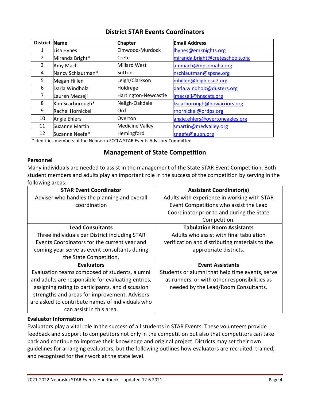| <b>District</b> | <b>Name</b>           | <b>Chapter</b>         | <b>Email Address</b>            |
|-----------------|-----------------------|------------------------|---------------------------------|
| 1               | Lisa Hynes            | Elmwood-Murdock        | lhynes@emknights.org            |
| 2               | Miranda Bright*       | Crete                  | miranda.bright@creteschools.org |
| 3               | Amy Mach              | Millard West           | ammach@mpsomaha.org             |
| 4               | Nancy Schlautman*     | Sutton                 | nschlautman@spsne.org           |
| 5               | Megan Hillen          | Leigh/Clarkson         | mhillen@leigh.esu7.org          |
| 6               | Darla Windholz        | Holdrege               | darla.windholz@dusters.org      |
| 7               | Lauren Mecseji        | Hartington-Newcastle   | Imecseji@hnscats.org            |
| 8               | Kim Scarborough*      | Neligh-Oakdale         | kscarborough@nowarriors.org     |
| 9               | Rachel Hornickel      | Ord                    | rhornickel@ordps.org            |
| 10              | Angie Ehlers          | Overton                | angie.ehlers@overtoneagles.org  |
| 11              | <b>Suzanne Martin</b> | <b>Medicine Valley</b> | smartin@medvalley.org           |
| 12              | Suzanne Neefe*        | Hemingford             | sneefe@gubn.org                 |

\*Identifies members of the Nebraska FCCLA STAR Events Advisory Committee.

#### **Management of State Competition**

#### **Personnel**

Many individuals are needed to assist in the management of the State STAR Event Competition. Both student members and adults play an important role in the success of the competition by serving in the following areas:

| <b>STAR Event Coordinator</b>                      | <b>Assistant Coordinator(s)</b>                 |
|----------------------------------------------------|-------------------------------------------------|
| Adviser who handles the planning and overall       | Adults with experience in working with STAR     |
| coordination                                       | Event Competitions who assist the Lead          |
|                                                    | Coordinator prior to and during the State       |
|                                                    | Competition.                                    |
| <b>Lead Consultants</b>                            | <b>Tabulation Room Assistants</b>               |
| Three individuals per District including STAR      | Adults who assist with final tabulation         |
| Events Coordinators for the current year and       | verification and distributing materials to the  |
| coming year serve as event consultants during      | appropriate districts.                          |
| the State Competition.                             |                                                 |
| <b>Evaluators</b>                                  | <b>Event Assistants</b>                         |
| Evaluation teams composed of students, alumni      | Students or alumni that help time events, serve |
| and adults are responsible for evaluating entries, | as runners, or with other responsibilities as   |
| assigning rating to participants, and discussion   | needed by the Lead/Room Consultants.            |
| strengths and areas for improvement. Advisers      |                                                 |
| are asked to contribute names of individuals who   |                                                 |
| can assist in this area.                           |                                                 |

#### **Evaluator Information**

Evaluators play a vital role in the success of all students in STAR Events. These volunteers provide feedback and support to competitors not only in the competition but also that competitors can take back and continue to improve their knowledge and original project. Districts may set their own guidelines for arranging evaluators, but the following outlines how evaluators are recruited, trained, and recognized for their work at the state level.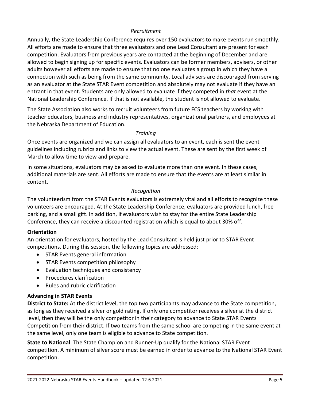#### *Recruitment*

Annually, the State Leadership Conference requires over 150 evaluators to make events run smoothly. All efforts are made to ensure that three evaluators and one Lead Consultant are present for each competition. Evaluators from previous years are contacted at the beginning of December and are allowed to begin signing up for specific events. Evaluators can be former members, advisers, or other adults however all efforts are made to ensure that no one evaluates a group in which they have a connection with such as being from the same community. Local advisers are discouraged from serving as an evaluator at the State STAR Event competition and absolutely may not evaluate if they have an entrant in that event. Students are only allowed to evaluate if they competed in *that* event at the National Leadership Conference. If that is not available, the student is not allowed to evaluate.

The State Association also works to recruit volunteers from future FCS teachers by working with teacher educators, business and industry representatives, organizational partners, and employees at the Nebraska Department of Education.

#### *Training*

Once events are organized and we can assign all evaluators to an event, each is sent the event guidelines including rubrics and links to view the actual event. These are sent by the first week of March to allow time to view and prepare.

In some situations, evaluators may be asked to evaluate more than one event. In these cases, additional materials are sent. All efforts are made to ensure that the events are at least similar in content.

#### *Recognition*

The volunteerism from the STAR Events evaluators is extremely vital and all efforts to recognize these volunteers are encouraged. At the State Leadership Conference, evaluators are provided lunch, free parking, and a small gift. In addition, if evaluators wish to stay for the entire State Leadership Conference, they can receive a discounted registration which is equal to about 30% off.

#### **Orientation**

An orientation for evaluators, hosted by the Lead Consultant is held just prior to STAR Event competitions. During this session, the following topics are addressed:

- STAR Events general information
- STAR Events competition philosophy
- Evaluation techniques and consistency
- Procedures clarification
- Rules and rubric clarification

#### **Advancing in STAR Events**

**District to State:** At the district level, the top two participants may advance to the State competition, as long as they received a silver or gold rating. If only one competitor receives a silver at the district level, then they will be the only competitor in their category to advance to State STAR Events Competition from their district. If two teams from the same school are competing in the same event at the same level, only one team is eligible to advance to State competition.

**State to National**: The State Champion and Runner-Up qualify for the National STAR Event competition. A minimum of silver score must be earned in order to advance to the National STAR Event competition.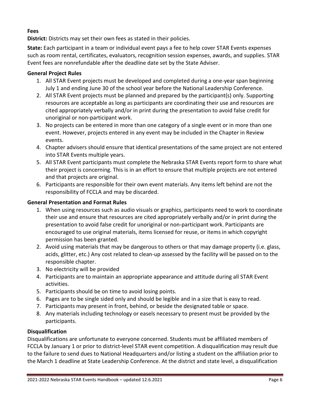#### **Fees**

**District:** Districts may set their own fees as stated in their policies.

**State:** Each participant in a team or individual event pays a fee to help cover STAR Events expenses such as room rental, certificates, evaluators, recognition session expenses, awards, and supplies. STAR Event fees are nonrefundable after the deadline date set by the State Adviser.

#### **General Project Rules**

- 1. All STAR Event projects must be developed and completed during a one-year span beginning July 1 and ending June 30 of the school year before the National Leadership Conference.
- 2. All STAR Event projects must be planned and prepared by the participant(s) only. Supporting resources are acceptable as long as participants are coordinating their use and resources are cited appropriately verbally and/or in print during the presentation to avoid false credit for unoriginal or non-participant work.
- 3. No projects can be entered in more than one category of a single event or in more than one event. However, projects entered in any event may be included in the Chapter in Review events.
- 4. Chapter advisers should ensure that identical presentations of the same project are not entered into STAR Events multiple years.
- 5. All STAR Event participants must complete the Nebraska STAR Events report form to share what their project is concerning. This is in an effort to ensure that multiple projects are not entered and that projects are original.
- 6. Participants are responsible for their own event materials. Any items left behind are not the responsibility of FCCLA and may be discarded.

#### **General Presentation and Format Rules**

- 1. When using resources such as audio visuals or graphics, participants need to work to coordinate their use and ensure that resources are cited appropriately verbally and/or in print during the presentation to avoid false credit for unoriginal or non-participant work. Participants are encouraged to use original materials, items licensed for reuse, or items in which copyright permission has been granted.
- 2. Avoid using materials that may be dangerous to others or that may damage property (i.e. glass, acids, glitter, etc.) Any cost related to clean-up assessed by the facility will be passed on to the responsible chapter.
- 3. No electricity will be provided
- 4. Participants are to maintain an appropriate appearance and attitude during all STAR Event activities.
- 5. Participants should be on time to avoid losing points.
- 6. Pages are to be single sided only and should be legible and in a size that is easy to read.
- 7. Participants may present in front, behind, or beside the designated table or space.
- 8. Any materials including technology or easels necessary to present must be provided by the participants.

#### **Disqualification**

Disqualifications are unfortunate to everyone concerned. Students must be affiliated members of FCCLA by January 1 or prior to district-level STAR event competition. A disqualification may result due to the failure to send dues to National Headquarters and/or listing a student on the affiliation prior to the March 1 deadline at State Leadership Conference. At the district and state level, a disqualification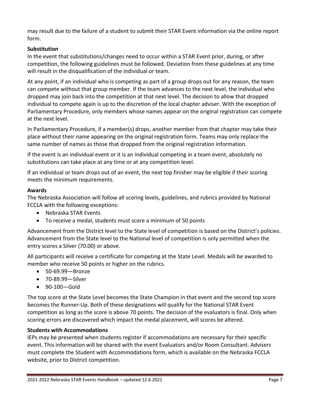may result due to the failure of a student to submit their STAR Event information via the online report form.

#### **Substitution**

In the event that substitutions/changes need to occur within a STAR Event prior, during, or after competition, the following guidelines must be followed. Deviation from these guidelines at any time will result in the disqualification of the individual or team.

At any point, if an individual who is competing as part of a group drops out for any reason, the team can compete without that group member. If the team advances to the next level, the individual who dropped may join back into the competition at that next level. The decision to allow that dropped individual to compete again is up to the discretion of the local chapter adviser. With the exception of Parliamentary Procedure, only members whose names appear on the original registration can compete at the next level.

In Parliamentary Procedure, if a member(s) drops, another member from that chapter may take their place without their name appearing on the original registration form. Teams may only replace the same number of names as those that dropped from the original registration information.

If the event is an individual event or it is an individual competing in a team event, absolutely no substitutions can take place at any time or at any competition level.

If an individual or team drops out of an event, the next top finisher may be eligible if their scoring meets the minimum requirements.

#### **Awards**

The Nebraska Association will follow all scoring levels, guidelines, and rubrics provided by National FCCLA with the following exceptions:

- Nebraska STAR Events
- To receive a medal, students must score a minimum of 50 points

Advancement from the District level to the State level of competition is based on the District's policies. Advancement from the State level to the National level of competition is only permitted when the entry scores a Silver (70.00) or above.

All participants will receive a certificate for competing at the State Level. Medals will be awarded to member who receive 50 points or higher on the rubrics.

- 50-69.99—Bronze
- 70-89.99—Silver
- 90-100—Gold

The top score at the State Level becomes the State Champion in that event and the second top score becomes the Runner-Up. Both of these designations will qualify for the National STAR Event competition as long as the score is above 70 points. The decision of the evaluators is final. Only when scoring errors are discovered which impact the medal placement, will scores be altered.

#### **Students with Accommodations**

IEPs may be presented when students register if accommodations are necessary for their specific event. This information will be shared with the event Evaluators and/or Room Consultant. Advisers must complete the Student with Accommodations form, which is available on the Nebraska FCCLA website, prior to District competition.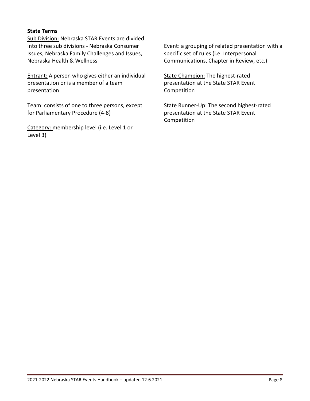#### **State Terms**

Sub Division: Nebraska STAR Events are divided into three sub divisions - Nebraska Consumer Issues, Nebraska Family Challenges and Issues, Nebraska Health & Wellness

Entrant: A person who gives either an individual presentation or is a member of a team presentation

Team: consists of one to three persons, except for Parliamentary Procedure (4-8)

Category: membership level (i.e. Level 1 or Level 3)

Event: a grouping of related presentation with a specific set of rules (i.e. Interpersonal Communications, Chapter in Review, etc.)

State Champion: The highest-rated presentation at the State STAR Event Competition

State Runner-Up: The second highest-rated presentation at the State STAR Event Competition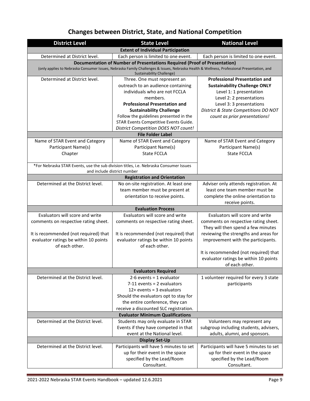# **Changes between District, State, and National Competition**

| <b>District Level</b>                                                                                                                                                   | <b>State Level</b>                                                                    | <b>National Level</b>                                                   |  |  |  |  |  |
|-------------------------------------------------------------------------------------------------------------------------------------------------------------------------|---------------------------------------------------------------------------------------|-------------------------------------------------------------------------|--|--|--|--|--|
|                                                                                                                                                                         | <b>Extent of Individual Participation</b>                                             |                                                                         |  |  |  |  |  |
| Determined at District level.                                                                                                                                           | Each person is limited to one event.                                                  | Each person is limited to one event.                                    |  |  |  |  |  |
| Documentation of Number of Presentations Required (Proof of Presentation)                                                                                               |                                                                                       |                                                                         |  |  |  |  |  |
| (only applies to Nebraska Consumer Issues, Nebraska Family Challenges & Issues, Nebraska Health & Wellness, Professional Presentation, and<br>Sustainability Challenge) |                                                                                       |                                                                         |  |  |  |  |  |
| Determined at District level.                                                                                                                                           | Three. One must represent an                                                          | <b>Professional Presentation and</b>                                    |  |  |  |  |  |
|                                                                                                                                                                         | outreach to an audience containing                                                    | <b>Sustainability Challenge ONLY</b>                                    |  |  |  |  |  |
|                                                                                                                                                                         | individuals who are not FCCLA                                                         | Level 1: 1 presentation                                                 |  |  |  |  |  |
|                                                                                                                                                                         | members.                                                                              | Level 2: 2 presentations                                                |  |  |  |  |  |
|                                                                                                                                                                         | <b>Professional Presentation and</b>                                                  | Level 3: 3 presentations                                                |  |  |  |  |  |
|                                                                                                                                                                         | <b>Sustainability Challenge</b>                                                       | District & State Competitions DO NOT                                    |  |  |  |  |  |
|                                                                                                                                                                         | Follow the guidelines presented in the                                                | count as prior presentations!                                           |  |  |  |  |  |
|                                                                                                                                                                         | STAR Events Competitive Events Guide.                                                 |                                                                         |  |  |  |  |  |
|                                                                                                                                                                         | <b>District Competition DOES NOT count!</b>                                           |                                                                         |  |  |  |  |  |
|                                                                                                                                                                         | <b>File Folder Label</b>                                                              |                                                                         |  |  |  |  |  |
| Name of STAR Event and Category                                                                                                                                         | Name of STAR Event and Category                                                       | Name of STAR Event and Category                                         |  |  |  |  |  |
| Participant Name(s)                                                                                                                                                     | Participant Name(s)<br><b>State FCCLA</b>                                             | Participant Name(s)<br><b>State FCCLA</b>                               |  |  |  |  |  |
| Chapter                                                                                                                                                                 |                                                                                       |                                                                         |  |  |  |  |  |
|                                                                                                                                                                         | *For Nebraska STAR Events, use the sub division titles, i.e. Nebraska Consumer Issues |                                                                         |  |  |  |  |  |
| and include district number                                                                                                                                             |                                                                                       |                                                                         |  |  |  |  |  |
|                                                                                                                                                                         | <b>Registration and Orientation</b>                                                   |                                                                         |  |  |  |  |  |
| Determined at the District level.                                                                                                                                       | No on-site registration. At least one                                                 | Adviser only attends registration. At                                   |  |  |  |  |  |
|                                                                                                                                                                         | team member must be present at                                                        | least one team member must be                                           |  |  |  |  |  |
|                                                                                                                                                                         | orientation to receive points.                                                        | complete the online orientation to                                      |  |  |  |  |  |
|                                                                                                                                                                         |                                                                                       | receive points.                                                         |  |  |  |  |  |
| <b>Evaluation Process</b>                                                                                                                                               |                                                                                       |                                                                         |  |  |  |  |  |
| Evaluators will score and write                                                                                                                                         | Evaluators will score and write                                                       | Evaluators will score and write                                         |  |  |  |  |  |
| comments on respective rating sheet.                                                                                                                                    | comments on respective rating sheet.                                                  | comments on respective rating sheet.                                    |  |  |  |  |  |
|                                                                                                                                                                         |                                                                                       | They will then spend a few minutes                                      |  |  |  |  |  |
| It is recommended (not required) that                                                                                                                                   | It is recommended (not required) that                                                 | reviewing the strengths and areas for                                   |  |  |  |  |  |
| evaluator ratings be within 10 points                                                                                                                                   | evaluator ratings be within 10 points                                                 | improvement with the participants.                                      |  |  |  |  |  |
| of each other.                                                                                                                                                          | of each other.                                                                        |                                                                         |  |  |  |  |  |
|                                                                                                                                                                         |                                                                                       | It is recommended (not required) that                                   |  |  |  |  |  |
|                                                                                                                                                                         |                                                                                       | evaluator ratings be within 10 points                                   |  |  |  |  |  |
|                                                                                                                                                                         |                                                                                       | of each other.                                                          |  |  |  |  |  |
|                                                                                                                                                                         | <b>Evaluators Required</b>                                                            |                                                                         |  |  |  |  |  |
| Determined at the District level.                                                                                                                                       | $2-6$ events = 1 evaluator                                                            | 1 volunteer required for every 3 state                                  |  |  |  |  |  |
|                                                                                                                                                                         | $7-11$ events = 2 evaluators                                                          | participants                                                            |  |  |  |  |  |
|                                                                                                                                                                         | $12+$ events = 3 evaluators                                                           |                                                                         |  |  |  |  |  |
|                                                                                                                                                                         | Should the evaluators opt to stay for                                                 |                                                                         |  |  |  |  |  |
|                                                                                                                                                                         | the entire conference, they can                                                       |                                                                         |  |  |  |  |  |
|                                                                                                                                                                         | receive a discounted SLC registration.                                                |                                                                         |  |  |  |  |  |
|                                                                                                                                                                         | <b>Evaluator Minimum Qualifications</b>                                               |                                                                         |  |  |  |  |  |
| Determined at the District level.                                                                                                                                       | Students may only evaluate in STAR                                                    | Volunteers may represent any                                            |  |  |  |  |  |
|                                                                                                                                                                         | Events if they have competed in that<br>event at the National level.                  | subgroup including students, advisers,<br>adults, alumni, and sponsors. |  |  |  |  |  |
|                                                                                                                                                                         | <b>Display Set-Up</b>                                                                 |                                                                         |  |  |  |  |  |
| Determined at the District level.                                                                                                                                       | Participants will have 5 minutes to set                                               | Participants will have 5 minutes to set                                 |  |  |  |  |  |
|                                                                                                                                                                         | up for their event in the space                                                       | up for their event in the space                                         |  |  |  |  |  |
|                                                                                                                                                                         | specified by the Lead/Room                                                            | specified by the Lead/Room                                              |  |  |  |  |  |
|                                                                                                                                                                         | Consultant.                                                                           | Consultant.                                                             |  |  |  |  |  |
|                                                                                                                                                                         |                                                                                       |                                                                         |  |  |  |  |  |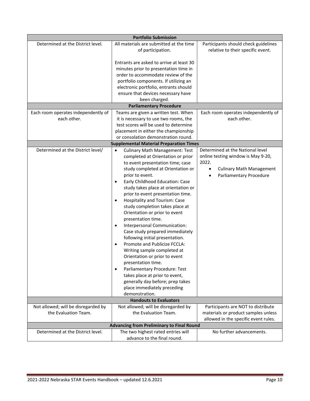| <b>Portfolio Submission</b>         |                                                    |                                              |  |  |  |
|-------------------------------------|----------------------------------------------------|----------------------------------------------|--|--|--|
| Determined at the District level.   | All materials are submitted at the time            | Participants should check guidelines         |  |  |  |
|                                     | of participation.                                  | relative to their specific event.            |  |  |  |
|                                     |                                                    |                                              |  |  |  |
|                                     | Entrants are asked to arrive at least 30           |                                              |  |  |  |
|                                     | minutes prior to presentation time in              |                                              |  |  |  |
|                                     | order to accommodate review of the                 |                                              |  |  |  |
|                                     | portfolio components. If utilizing an              |                                              |  |  |  |
|                                     | electronic portfolio, entrants should              |                                              |  |  |  |
|                                     | ensure that devices necessary have                 |                                              |  |  |  |
|                                     | been charged.                                      |                                              |  |  |  |
|                                     | <b>Parliamentary Procedure</b>                     |                                              |  |  |  |
| Each room operates independently of | Teams are given a written test. When               | Each room operates independently of          |  |  |  |
| each other.                         | it is necessary to use two rooms, the              | each other.                                  |  |  |  |
|                                     | test scores will be used to determine              |                                              |  |  |  |
|                                     | placement in either the championship               |                                              |  |  |  |
|                                     | or consolation demonstration round.                |                                              |  |  |  |
|                                     | <b>Supplemental Material Preparation Times</b>     |                                              |  |  |  |
| Determined at the District level/   | <b>Culinary Math Management: Test</b><br>$\bullet$ | Determined at the National level             |  |  |  |
|                                     | completed at Orientation or prior                  | online testing window is May 9-20,           |  |  |  |
|                                     | to event presentation time; case                   | 2022.                                        |  |  |  |
|                                     | study completed at Orientation or                  | <b>Culinary Math Management</b><br>$\bullet$ |  |  |  |
|                                     | prior to event.                                    | Parliamentary Procedure<br>$\bullet$         |  |  |  |
|                                     | Early Childhood Education: Case<br>$\bullet$       |                                              |  |  |  |
|                                     | study takes place at orientation or                |                                              |  |  |  |
|                                     | prior to event presentation time.                  |                                              |  |  |  |
|                                     | Hospitality and Tourism: Case<br>$\bullet$         |                                              |  |  |  |
|                                     | study completion takes place at                    |                                              |  |  |  |
|                                     | Orientation or prior to event                      |                                              |  |  |  |
|                                     | presentation time.                                 |                                              |  |  |  |
|                                     | Interpersonal Communication:<br>$\bullet$          |                                              |  |  |  |
|                                     | Case study prepared immediately                    |                                              |  |  |  |
|                                     | following initial presentation.                    |                                              |  |  |  |
|                                     | Promote and Publicize FCCLA:<br>$\bullet$          |                                              |  |  |  |
|                                     | Writing sample completed at                        |                                              |  |  |  |
|                                     | Orientation or prior to event                      |                                              |  |  |  |
|                                     | presentation time.                                 |                                              |  |  |  |
|                                     | Parliamentary Procedure: Test<br>$\bullet$         |                                              |  |  |  |
|                                     | takes place at prior to event,                     |                                              |  |  |  |
|                                     | generally day before; prep takes                   |                                              |  |  |  |
|                                     | place immediately preceding                        |                                              |  |  |  |
|                                     | demonstration.                                     |                                              |  |  |  |
|                                     | <b>Handouts to Evaluators</b>                      |                                              |  |  |  |
| Not allowed; will be disregarded by | Not allowed; will be disregarded by                | Participants are NOT to distribute           |  |  |  |
| the Evaluation Team.                | the Evaluation Team.                               | materials or product samples unless          |  |  |  |
|                                     |                                                    | allowed in the specific event rules.         |  |  |  |
|                                     | <b>Advancing from Preliminary to Final Round</b>   |                                              |  |  |  |
| Determined at the District level.   | The two highest rated entries will                 | No further advancements.                     |  |  |  |
|                                     | advance to the final round.                        |                                              |  |  |  |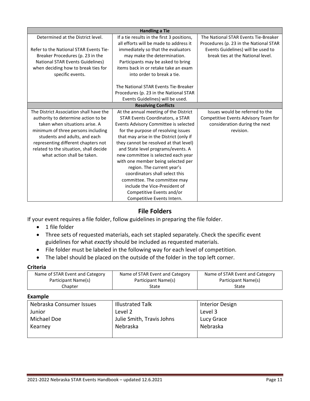| <b>Handling a Tie</b>                   |                                            |                                        |  |  |
|-----------------------------------------|--------------------------------------------|----------------------------------------|--|--|
| Determined at the District level.       | If a tie results in the first 3 positions, | The National STAR Events Tie-Breaker   |  |  |
|                                         | all efforts will be made to address it     | Procedures (p. 23 in the National STAR |  |  |
| Refer to the National STAR Events Tie-  | immediately so that the evaluators         | Events Guidelines) will be used to     |  |  |
| Breaker Procedures (p. 23 in the        | may make the determination.                | break ties at the National level.      |  |  |
| <b>National STAR Events Guidelines)</b> | Participants may be asked to bring         |                                        |  |  |
| when deciding how to break ties for     | items back in or retake take an exam       |                                        |  |  |
| specific events.                        | into order to break a tie.                 |                                        |  |  |
|                                         |                                            |                                        |  |  |
|                                         | The National STAR Events Tie-Breaker       |                                        |  |  |
|                                         | Procedures (p. 23 in the National STAR     |                                        |  |  |
|                                         | Events Guidelines) will be used.           |                                        |  |  |
| <b>Resolving Conflicts</b>              |                                            |                                        |  |  |
| The District Association shall have the | At the annual meeting of the District      | Issues would be referred to the        |  |  |
| authority to determine action to be     | <b>STAR Events Coordinators, a STAR</b>    | Competitive Events Advisory Team for   |  |  |
| taken when situations arise. A          | Events Advisory Committee is selected      | consideration during the next          |  |  |
| minimum of three persons including      | for the purpose of resolving issues        | revision.                              |  |  |
| students and adults, and each           | that may arise in the District (only if    |                                        |  |  |
| representing different chapters not     | they cannot be resolved at that level)     |                                        |  |  |
| related to the situation, shall decide  | and State level programs/events. A         |                                        |  |  |
| what action shall be taken.             | new committee is selected each year        |                                        |  |  |
|                                         | with one member being selected per         |                                        |  |  |
|                                         | region. The current year's                 |                                        |  |  |
|                                         | coordinators shall select this             |                                        |  |  |
|                                         | committee. The committee may               |                                        |  |  |
|                                         | include the Vice-President of              |                                        |  |  |
|                                         | Competitive Events and/or                  |                                        |  |  |
|                                         | Competitive Events Intern.                 |                                        |  |  |

#### **File Folders**

If your event requires a file folder, follow guidelines in preparing the file folder.

- 1 file folder
- Three sets of requested materials, each set stapled separately. Check the specific event guidelines for what *exactly* should be included as requested materials.
- File folder must be labeled in the following way for each level of competition.
- The label should be placed on the outside of the folder in the top left corner.

#### **Criteria**

| Name of STAR Event and Category | Name of STAR Event and Category | Name of STAR Event and Category |
|---------------------------------|---------------------------------|---------------------------------|
| Participant Name(s)             | Participant Name(s)             | Participant Name(s)             |
| Chapter                         | State                           | State                           |

#### **Example**

| Nebraska Consumer Issues | <b>Illustrated Talk</b>   | <b>Interior Design</b> |
|--------------------------|---------------------------|------------------------|
| Junior                   | Level 2                   | Level 3                |
| Michael Doe              | Julie Smith, Travis Johns | Lucy Grace             |
| Kearney                  | Nebraska                  | Nebraska               |
|                          |                           |                        |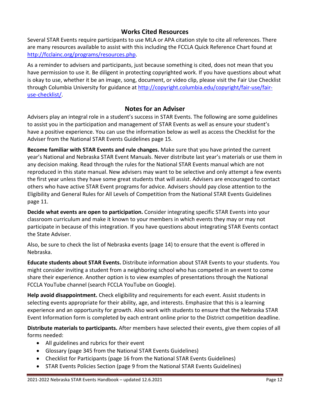#### **Works Cited Resources**

Several STAR Events require participants to use MLA or APA citation style to cite all references. There are many resources available to assist with this including the FCCLA Quick Reference Chart found at [http://fcclainc.org/programs/resources.php.](http://fcclainc.org/programs/resources.php)

As a reminder to advisers and participants, just because something is cited, does not mean that you have permission to use it. Be diligent in protecting copyrighted work. If you have questions about what is okay to use, whether it be an image, song, document, or video clip, please visit the Fair Use Checklist through Columbia University for guidance at [http://copyright.columbia.edu/copyright/fair-use/fair](http://copyright.columbia.edu/copyright/fair-use/fair-use-checklist/)[use-checklist/.](http://copyright.columbia.edu/copyright/fair-use/fair-use-checklist/)

#### **Notes for an Adviser**

Advisers play an integral role in a student's success in STAR Events. The following are some guidelines to assist you in the participation and management of STAR Events as well as ensure your student's have a positive experience. You can use the information below as well as access the Checklist for the Adviser from the National STAR Events Guidelines page 15.

**Become familiar with STAR Events and rule changes.** Make sure that you have printed the current year's National and Nebraska STAR Event Manuals. Never distribute last year's materials or use them in any decision making. Read through the rules for the National STAR Events manual which are not reproduced in this state manual. New advisers may want to be selective and only attempt a few events the first year unless they have some great students that will assist. Advisers are encouraged to contact others who have active STAR Event programs for advice. Advisers should pay close attention to the Eligibility and General Rules for All Levels of Competition from the National STAR Events Guidelines page 11.

**Decide what events are open to participation.** Consider integrating specific STAR Events into your classroom curriculum and make it known to your members in which events they may or may not participate in because of this integration. If you have questions about integrating STAR Events contact the State Adviser.

Also, be sure to check the list of Nebraska events (page 14) to ensure that the event is offered in Nebraska.

**Educate students about STAR Events.** Distribute information about STAR Events to your students. You might consider inviting a student from a neighboring school who has competed in an event to come share their experience. Another option is to view examples of presentations through the National FCCLA YouTube channel (search FCCLA YouTube on Google).

**Help avoid disappointment.** Check eligibility and requirements for each event. Assist students in selecting events appropriate for their ability, age, and interests. Emphasize that this is a learning experience and an opportunity for growth. Also work with students to ensure that the Nebraska STAR Event Information form is completed by each entrant online prior to the District competition deadline.

**Distribute materials to participants.** After members have selected their events, give them copies of all forms needed:

- All guidelines and rubrics for their event
- Glossary (page 345 from the National STAR Events Guidelines)
- Checklist for Participants (page 16 from the National STAR Events Guidelines)
- STAR Events Policies Section (page 9 from the National STAR Events Guidelines)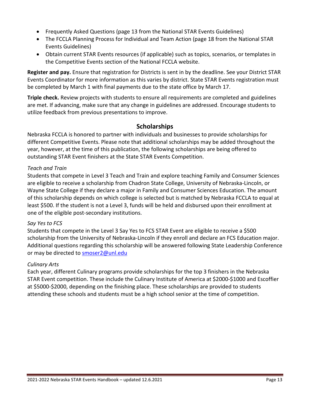- Frequently Asked Questions (page 13 from the National STAR Events Guidelines)
- The FCCLA Planning Process for Individual and Team Action (page 18 from the National STAR Events Guidelines)
- Obtain current STAR Events resources (if applicable) such as topics, scenarios, or templates in the Competitive Events section of the National FCCLA website.

**Register and pay.** Ensure that registration for Districts is sent in by the deadline. See your District STAR Events Coordinator for more information as this varies by district. State STAR Events registration must be completed by March 1 with final payments due to the state office by March 17.

**Triple check.** Review projects with students to ensure all requirements are completed and guidelines are met. If advancing, make sure that any change in guidelines are addressed. Encourage students to utilize feedback from previous presentations to improve.

#### **Scholarships**

Nebraska FCCLA is honored to partner with individuals and businesses to provide scholarships for different Competitive Events. Please note that additional scholarships may be added throughout the year, however, at the time of this publication, the following scholarships are being offered to outstanding STAR Event finishers at the State STAR Events Competition.

#### *Teach and Train*

Students that compete in Level 3 Teach and Train and explore teaching Family and Consumer Sciences are eligible to receive a scholarship from Chadron State College, University of Nebraska-Lincoln, or Wayne State College if they declare a major in Family and Consumer Sciences Education. The amount of this scholarship depends on which college is selected but is matched by Nebraska FCCLA to equal at least \$500. If the student is not a Level 3, funds will be held and disbursed upon their enrollment at one of the eligible post-secondary institutions.

#### *Say Yes to FCS*

Students that compete in the Level 3 Say Yes to FCS STAR Event are eligible to receive a \$500 scholarship from the University of Nebraska-Lincoln if they enroll and declare an FCS Education major. Additional questions regarding this scholarship will be answered following State Leadership Conference or may be directed to [smoser2@unl.edu](mailto:smoser2@unl.edu)

#### *Culinary Arts*

Each year, different Culinary programs provide scholarships for the top 3 finishers in the Nebraska STAR Event competition. These include the Culinary Institute of America at \$2000-\$1000 and Escoffier at \$5000-\$2000, depending on the finishing place. These scholarships are provided to students attending these schools and students must be a high school senior at the time of competition.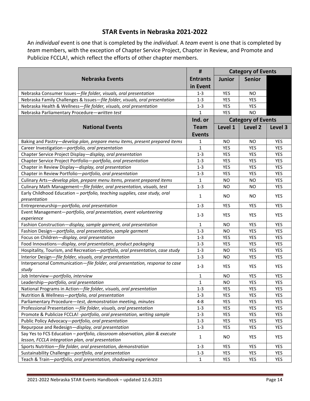#### **STAR Events in Nebraska 2021-2022**

An *individual* event is one that is completed by the *individual*. A *team* event is one that is completed by *team* members, with the exception of Chapter Service Project, Chapter in Review, and Promote and Publicize FCCLA!, which reflect the efforts of other chapter members.

|                                                                                       |                 |               | <b>Category of Events</b> |            |
|---------------------------------------------------------------------------------------|-----------------|---------------|---------------------------|------------|
| <b>Nebraska Events</b>                                                                | <b>Entrants</b> | <b>Junior</b> | <b>Senior</b>             |            |
|                                                                                       | in Event        |               |                           |            |
| Nebraska Consumer Issues-file folder, visuals, oral presentation                      | $1 - 3$         | <b>YES</b>    | <b>NO</b>                 |            |
| Nebraska Family Challenges & Issues-file folder, visuals, oral presentation           | $1 - 3$         | YES           | <b>YES</b>                |            |
| Nebraska Health & Wellness-file folder, visuals, oral presentation                    | $1 - 3$         | YES           | YES                       |            |
| Nebraska Parliamentary Procedure-written test                                         | 1               | <b>YES</b>    | <b>NO</b>                 |            |
|                                                                                       | Ind. or         |               | <b>Category of Events</b> |            |
| <b>National Events</b>                                                                | <b>Team</b>     | Level 1       | Level 2                   | Level 3    |
|                                                                                       | <b>Events</b>   |               |                           |            |
| Baking and Pastry-develop plan, prepare menu items, present prepared items            | 1               | <b>NO</b>     | <b>NO</b>                 | <b>YES</b> |
| Career Investigation-portfolio, oral presentation                                     | 1               | <b>YES</b>    | <b>YES</b>                | YES        |
| Chapter Service Project Display-display, oral presentation                            | $1 - 3$         | YES           | <b>YES</b>                | <b>YES</b> |
| Chapter Service Project Portfolio-portfolio, oral presentation                        | $1 - 3$         | YES           | <b>YES</b>                | YES        |
| Chapter in Review Display-display, oral presentation                                  | $1 - 3$         | YES           | <b>YES</b>                | YES        |
| Chapter in Review Portfolio-portfolio, oral presentation                              | $1 - 3$         | YES           | <b>YES</b>                | YES        |
| Culinary Arts-develop plan, prepare menu items, present prepared items                | $\mathbf{1}$    | <b>NO</b>     | <b>NO</b>                 | <b>YES</b> |
| Culinary Math Management-file folder, oral presentation, visuals, test                | $1 - 3$         | <b>NO</b>     | <b>NO</b>                 | YES        |
| Early Childhood Education - portfolio, teaching supplies, case study, oral            |                 |               |                           |            |
| presentation                                                                          | $\mathbf{1}$    | <b>NO</b>     | <b>NO</b>                 | YES        |
| Entrepreneurship-portfolio, oral presentation                                         | $1 - 3$         | YES           | YES                       | <b>YES</b> |
| Event Management-portfolio, oral presentation, event volunteering                     | $1 - 3$         | <b>YES</b>    | <b>YES</b>                | YES        |
| experience                                                                            |                 |               |                           |            |
| Fashion Construction-display, sample garment, oral presentation                       | 1               | <b>NO</b>     | <b>YES</b>                | YES        |
| Fashion Design-portfolio, oral presentation, sample garment                           | $1 - 3$         | <b>NO</b>     | YES                       | YES        |
| Focus on Children-display, oral presentation                                          | $1 - 3$         | <b>YES</b>    | <b>YES</b>                | YES        |
| Food Innovations-display, oral presentation, product packaging                        | $1 - 3$         | YES           | YES                       | <b>YES</b> |
| Hospitality, Tourism, and Recreation-portfolio, oral presentation, case study         | $1 - 3$         | <b>NO</b>     | <b>YES</b>                | YES        |
| Interior Design-file folder, visuals, oral presentation                               | $1 - 3$         | <b>NO</b>     | YES                       | YES        |
| Interpersonal Communication-file folder, oral presentation, response to case<br>study | $1 - 3$         | <b>YES</b>    | <b>YES</b>                | <b>YES</b> |
| Job Interview-portfolio, interview                                                    | $\mathbf{1}$    | <b>NO</b>     | <b>YES</b>                | <b>YES</b> |
| Leadership-portfolio, oral presentation                                               | $\mathbf{1}$    | <b>NO</b>     | <b>YES</b>                | YES        |
| National Programs in Action-file folder, visuals, oral presentation                   | $1 - 3$         | <b>YES</b>    | YES                       | YES        |
| Nutrition & Wellness-portfolio, oral presentation                                     | $1-3$           | <b>YES</b>    | <b>YES</b>                | <b>YES</b> |
| Parliamentary Procedure-test, demonstration meeting, minutes                          | $4 - 8$         | YES           | YES                       | YES        |
| Professional Presentation - file folder, visuals, oral presentation                   | $1-3$           | YES           | YES                       | YES        |
| Promote & Publicize FCCLA! -portfolio, oral presentation, writing sample              | $1 - 3$         | YES           | YES                       | YES        |
| Public Policy Advocacy-portfolio, oral presentation                                   | $1 - 3$         | <b>YES</b>    | <b>YES</b>                | YES        |
| Repurpose and Redesign-display, oral presentation                                     | $1-3$           | YES           | YES                       | YES        |
| Say Yes to FCS Education - portfolio, classroom observation, plan & execute           |                 |               |                           |            |
| lesson, FCCLA integration plan, oral presentation                                     | $\mathbf{1}$    | NO            | YES                       | YES        |
| Sports Nutrition-file folder, oral presentation, demonstration                        | $1 - 3$         | YES           | YES                       | YES        |
| Sustainability Challenge-portfolio, oral presentation                                 | $1 - 3$         | YES           | YES                       | YES        |
| Teach & Train-portfolio, oral presentation, shadowing experience                      | $\mathbf{1}$    | YES           | YES                       | YES        |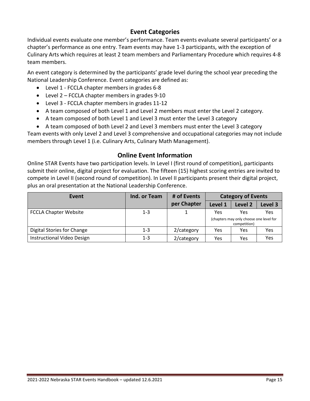#### **Event Categories**

Individual events evaluate one member's performance. Team events evaluate several participants' or a chapter's performance as one entry. Team events may have 1-3 participants, with the exception of Culinary Arts which requires at least 2 team members and Parliamentary Procedure which requires 4-8 team members.

An event category is determined by the participants' grade level during the school year preceding the National Leadership Conference. Event categories are defined as:

- Level 1 FCCLA chapter members in grades 6-8
- Level 2 FCCLA chapter members in grades 9-10
- Level 3 FCCLA chapter members in grades 11-12
- A team composed of both Level 1 and Level 2 members must enter the Level 2 category.
- A team composed of both Level 1 and Level 3 must enter the Level 3 category
- A team composed of both Level 2 and Level 3 members must enter the Level 3 category

Team events with only Level 2 and Level 3 comprehensive and occupational categories may not include members through Level 1 (i.e. Culinary Arts, Culinary Math Management).

#### **Online Event Information**

Online STAR Events have two participation levels. In Level I (first round of competition), participants submit their online, digital project for evaluation. The fifteen (15) highest scoring entries are invited to compete in Level II (second round of competition). In Level II participants present their digital project, plus an oral presentation at the National Leadership Conference.

| Event                             | Ind. or Team | # of Events | <b>Category of Events</b>                               |                    |         |
|-----------------------------------|--------------|-------------|---------------------------------------------------------|--------------------|---------|
|                                   |              | per Chapter | Level 1                                                 | Level <sub>2</sub> | Level 3 |
| <b>FCCLA Chapter Website</b>      | $1 - 3$      |             | Yes                                                     | Yes                | Yes     |
|                                   |              |             | (chapters may only choose one level for<br>competition) |                    |         |
| Digital Stories for Change        | $1 - 3$      | 2/category  | Yes                                                     | Yes                | Yes     |
| <b>Instructional Video Design</b> | $1 - 3$      | 2/category  | Yes                                                     | Yes                | Yes     |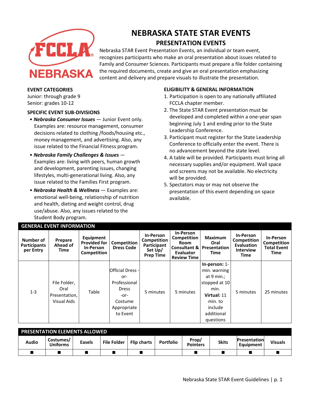

# **NEBRASKA STATE STAR EVENTS PRESENTATION EVENTS**

Nebraska STAR Event Presentation Events, an individual or team event, recognizes participants who make an oral presentation about issues related to Family and Consumer Sciences. Participants must prepare a file folder containing the required documents, create and give an oral presentation emphasizing content and delivery and prepare visuals to illustrate the presentation.

#### **EVENT CATEGORIES**

Junior: through grade 9 Senior: grades 10-12

#### **SPECIFIC EVENT SUB-DIVISIONS**

- *Nebraska Consumer Issues*  Junior Event only. Examples are: resource management, consumer decisions related to clothing /foods/housing etc., money management, and advertising. Also, any issue related to the Financial Fitness program.
- *Nebraska Family Challenges & Issues*  Examples are: living with peers, human growth and development, parenting issues, changing lifestyles, multi-generational living. Also, any issue related to the Families First program.
- *Nebraska Health & Wellness*  Examples are: emotional well-being, relationship of nutrition and health, dieting and weight control, drug use/abuse. Also, any issues related to the Student Body program.

#### **ELIGIBILITY & GENERAL INFORMATION**

- 1. Participation is open to any nationally affiliated FCCLA chapter member.
- 2. The State STAR Event presentation must be developed and completed within a one-year span beginning July 1 and ending prior to the State Leadership Conference.
- 3. Participant must register for the State Leadership Conference to officially enter the event. There is no advancement beyond the state level.
- 4. A table will be provided. Participants must bring all necessary supplies and/or equipment. Wall space and screens may not be available. No electricity will be provided.
- 5. Spectators may or may not observe the presentation of this event depending on space available.

| Number of<br><b>Participants</b><br>per Entry | Prepare<br>Ahead of<br>Time                          | Equipment<br><b>Provided for</b><br>In-Person<br>Competition | Competition<br><b>Dress Code</b>                                                                             | In-Person<br>Competition<br>Participant<br>Set Up/<br><b>Prep Time</b> | <b>In-Person</b><br>Competition<br><b>Room</b><br>Evaluator<br><b>Review Time</b> | <b>Maximum</b><br>Oral<br><b>Consultant &amp; Presentation</b><br>Time                                                                   | In-Person<br>Competition<br>Evaluation<br><b>Interview</b><br>Time | In-Person<br>Competition<br><b>Total Event</b><br>Time |
|-----------------------------------------------|------------------------------------------------------|--------------------------------------------------------------|--------------------------------------------------------------------------------------------------------------|------------------------------------------------------------------------|-----------------------------------------------------------------------------------|------------------------------------------------------------------------------------------------------------------------------------------|--------------------------------------------------------------------|--------------------------------------------------------|
| $1 - 3$                                       | File Folder,<br>Oral<br>Presentation,<br>Visual Aids | Table                                                        | <b>Official Dress -</b><br>or-<br>Professional<br><b>Dress</b><br>-or-<br>Costume<br>Appropriate<br>to Event | 5 minutes                                                              | 5 minutes                                                                         | $In-person: 1-$<br>min. warning<br>at $9$ min.;<br>stopped at 10<br>min.<br>Virtual: 11<br>min. to<br>include<br>additional<br>questions | 5 minutes                                                          | 25 minutes                                             |

| <b>PRESENTATION ELEMENTS ALLOWED</b> |                              |               |                    |                    |                  |                          |              |                                  |                |
|--------------------------------------|------------------------------|---------------|--------------------|--------------------|------------------|--------------------------|--------------|----------------------------------|----------------|
| <b>Audio</b>                         | Costumes/<br><b>Uniforms</b> | <b>Easels</b> | <b>File Folder</b> | <b>Flip charts</b> | <b>Portfolio</b> | Prop/<br><b>Pointers</b> | <b>Skits</b> | <b>Presentation</b><br>Equipment | <b>Visuals</b> |
|                                      |                              |               |                    |                    |                  |                          |              |                                  |                |

# **GENERAL EVENT INFORMATION**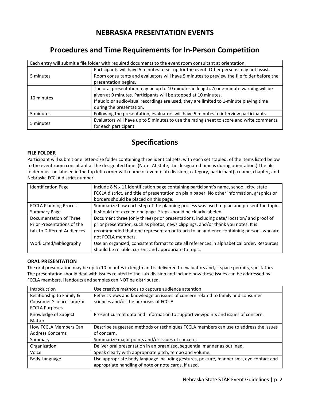### **NEBRASKA PRESENTATION EVENTS**

# **Procedures and Time Requirements for In-Person Competition**

| Each entry will submit a file folder with required documents to the event room consultant at orientation. |                                                                                           |  |  |  |
|-----------------------------------------------------------------------------------------------------------|-------------------------------------------------------------------------------------------|--|--|--|
| 5 minutes                                                                                                 | Participants will have 5 minutes to set up for the event. Other persons may not assist.   |  |  |  |
|                                                                                                           | Room consultants and evaluators will have 5 minutes to preview the file folder before the |  |  |  |
|                                                                                                           | presentation begins.                                                                      |  |  |  |
|                                                                                                           | The oral presentation may be up to 10 minutes in length. A one-minute warning will be     |  |  |  |
| 10 minutes                                                                                                | given at 9 minutes. Participants will be stopped at 10 minutes.                           |  |  |  |
|                                                                                                           | If audio or audiovisual recordings are used, they are limited to 1-minute playing time    |  |  |  |
|                                                                                                           | during the presentation.                                                                  |  |  |  |
| 5 minutes                                                                                                 | Following the presentation, evaluators will have 5 minutes to interview participants.     |  |  |  |
|                                                                                                           | Evaluators will have up to 5 minutes to use the rating sheet to score and write comments  |  |  |  |
| 5 minutes                                                                                                 | for each participant.                                                                     |  |  |  |

# **Specifications**

#### **FILE FOLDER**

Participant will submit one letter-size folder containing three identical sets, with each set stapled, of the items listed below to the event room consultant at the designated time. (Note: At state, the designated time is during orientation.) The file folder must be labeled in the top left corner with name of event (sub-division), category, participant(s) name, chapter, and Nebraska FCCLA district number.

| <b>Identification Page</b>    | Include 8 $\frac{1}{2}$ x 11 identification page containing participant's name, school, city, state |
|-------------------------------|-----------------------------------------------------------------------------------------------------|
|                               | FCCLA district, and title of presentation on plain paper. No other information, graphics or         |
|                               | borders should be placed on this page.                                                              |
| <b>FCCLA Planning Process</b> | Summarize how each step of the planning process was used to plan and present the topic.             |
| <b>Summary Page</b>           | It should not exceed one page. Steps should be clearly labeled.                                     |
| Documentation of Three        | Document three (only three) prior presentations, including date/location/ and proof of              |
| Prior Presentations of the    | prior presentation, such as photos, news clippings, and/or thank you notes. It is                   |
| talk to Different Audiences   | recommended that one represent an outreach to an audience containing persons who are                |
|                               | not FCCLA members.                                                                                  |
| Work Cited/Bibliography       | Use an organized, consistent format to cite all references in alphabetical order. Resources         |
|                               | should be reliable, current and appropriate to topic.                                               |

#### **ORAL PRESENTATION**

The oral presentation may be up to 10 minutes in length and is delivered to evaluators and, if space permits, spectators. The presentation should deal with issues related to the sub-division and include how these issues can be addressed by FCCLA members. Handouts and samples can NOT be distributed.

| Introduction             | Use creative methods to capture audience attention                                     |
|--------------------------|----------------------------------------------------------------------------------------|
| Relationship to Family & | Reflect views and knowledge on issues of concern related to family and consumer        |
| Consumer Sciences and/or | sciences and/or the purposes of FCCLA                                                  |
| <b>FCCLA Purposes</b>    |                                                                                        |
| Knowledge of Subject     | Present current data and information to support viewpoints and issues of concern.      |
| Matter                   |                                                                                        |
| How FCCLA Members Can    | Describe suggested methods or techniques FCCLA members can use to address the issues   |
| <b>Address Concerns</b>  | of concern.                                                                            |
| Summary                  | Summarize major points and/or issues of concern.                                       |
| Organization             | Deliver oral presentation in an organized, sequential manner as outlined.              |
| Voice                    | Speak clearly with appropriate pitch, tempo and volume.                                |
| Body Language            | Use appropriate body language including gestures, posture, mannerisms, eye contact and |
|                          | appropriate handling of note or note cards, if used.                                   |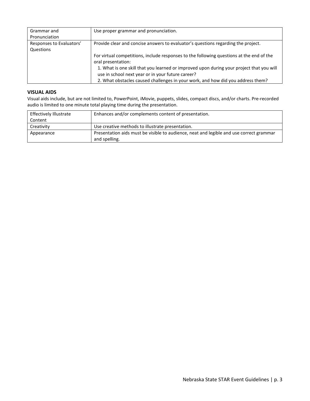| Grammar and              | Use proper grammar and pronunciation.                                                    |
|--------------------------|------------------------------------------------------------------------------------------|
| Pronunciation            |                                                                                          |
| Responses to Evaluators' | Provide clear and concise answers to evaluator's questions regarding the project.        |
| Questions                |                                                                                          |
|                          | For virtual competitions, include responses to the following questions at the end of the |
|                          | oral presentation:                                                                       |
|                          | 1. What is one skill that you learned or improved upon during your project that you will |
|                          | use in school next year or in your future career?                                        |
|                          | 2. What obstacles caused challenges in your work, and how did you address them?          |

#### **VISUAL AIDS**

Visual aids include, but are not limited to, PowerPoint, iMovie, puppets, slides, compact discs, and/or charts. Pre-recorded audio is limited to one minute total playing time during the presentation.

| <b>Effectively Illustrate</b> | Enhances and/or complements content of presentation.                                    |
|-------------------------------|-----------------------------------------------------------------------------------------|
| Content                       |                                                                                         |
| Creativity                    | Use creative methods to illustrate presentation.                                        |
| Appearance                    | Presentation aids must be visible to audience, neat and legible and use correct grammar |
|                               | and spelling.                                                                           |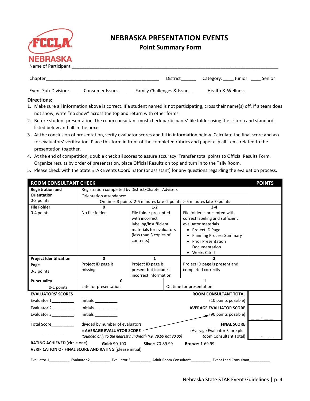

## **NEBRASKA PRESENTATION EVENTS**

#### **Point Summary Form**

| Chapter                                                                                                                        | District                              | Category: Junior             | Senior |
|--------------------------------------------------------------------------------------------------------------------------------|---------------------------------------|------------------------------|--------|
| Event Sub-Division:<br>Consumer Issues                                                                                         | <b>Family Challenges &amp; Issues</b> | <b>Health &amp; Wellness</b> |        |
| <b>Directions:</b>                                                                                                             |                                       |                              |        |
| 1. Make sure all information above is correct. If a student named is not participating, cross their name(s) off. If a team doe |                                       |                              |        |

#### **Directions:**

- 1. Make sure all information above is correct. If a student named is not participating, cross their name(s) off. If a team does not show, write "no show" across the top and return with other forms.
- 2. Before student presentation, the room consultant must check participants' file folder using the criteria and standards listed below and fill in the boxes.
- 3. At the conclusion of presentation, verify evaluator scores and fill in information below. Calculate the final score and ask for evaluators' verification. Place this form in front of the completed rubrics and paper clip all items related to the presentation together.
- 4. At the end of competition, double check all scores to assure accuracy. Transfer total points to Official Results Form. Organize results by order of presentation, place Official Results on top and turn in to the Tally Room.
- 5. Please check with the State STAR Events Coordinator (or assistant) for any questions regarding the evaluation process.

| <b>ROOM CONSULTANT CHECK</b>        |                                                                                |                                                                                                                        |                       |                                                                                                              | <b>POINTS</b> |
|-------------------------------------|--------------------------------------------------------------------------------|------------------------------------------------------------------------------------------------------------------------|-----------------------|--------------------------------------------------------------------------------------------------------------|---------------|
| <b>Registration and</b>             | Registration completed by District/Chapter Advisers                            |                                                                                                                        |                       |                                                                                                              |               |
| <b>Orientation</b>                  | Orientation attendance:                                                        |                                                                                                                        |                       |                                                                                                              |               |
| 0-3 points                          |                                                                                |                                                                                                                        |                       | On time=3 points 2-5 minutes late=2 points > 5 minutes late=0 points                                         |               |
| <b>File Folder</b>                  | 0                                                                              | $1 - 2$                                                                                                                |                       | $3 - 4$                                                                                                      |               |
| 0-4 points                          | No file folder                                                                 | File folder presented<br>with incorrect<br>labeling/insufficient<br>materials for evaluators<br>(less than 3 copies of |                       | File folder is presented with<br>correct labeling and sufficient<br>evaluator materials<br>• Project ID Page |               |
|                                     |                                                                                | contents)                                                                                                              |                       | • Planning Process Summary<br>• Prior Presentation<br>Documentation<br>• Works Cited                         |               |
| <b>Project Identification</b>       | $\mathbf{0}$                                                                   | $\mathbf{1}$                                                                                                           | $\overline{2}$        |                                                                                                              |               |
| Page                                | Project ID page is                                                             | Project ID page is                                                                                                     |                       | Project ID page is present and                                                                               |               |
| 0-3 points                          | missing                                                                        | present but includes<br>incorrect information                                                                          |                       | completed correctly                                                                                          |               |
| <b>Punctuality</b>                  | $\Omega$                                                                       |                                                                                                                        |                       | $\mathbf{1}$                                                                                                 |               |
| 0-1 points                          | Late for presentation                                                          |                                                                                                                        |                       | On time for presentation                                                                                     |               |
| <b>EVALUATORS' SCORES</b>           |                                                                                |                                                                                                                        |                       | <b>ROOM CONSULTANT TOTAL</b>                                                                                 |               |
| Evaluator 1__________               | Initials $\frac{1}{\sqrt{1-\frac{1}{2}}\cdot\frac{1}{2}}$                      |                                                                                                                        |                       | (10 points possible)                                                                                         |               |
| Evaluator 2_________                | Initials                                                                       |                                                                                                                        |                       | <b>AVERAGE EVALUATOR SCORE</b>                                                                               |               |
| Evaluator 3__________               | Initials $\frac{1}{1}$                                                         |                                                                                                                        |                       | $\bullet$ (90 points possible)                                                                               |               |
| Total Score <b>Contact</b>          | divided by number of evaluators                                                |                                                                                                                        |                       | <b>FINAL SCORE</b>                                                                                           |               |
|                                     | = AVERAGE EVALUATOR SCORE                                                      |                                                                                                                        |                       | (Average Evaluator Score plus                                                                                |               |
|                                     | Rounded only to the nearest hundredth (i.e. 79.99 not 80.00)                   |                                                                                                                        |                       | Room Consultant Total)                                                                                       |               |
| <b>RATING ACHIEVED (circle one)</b> | Gold: 90-100<br><b>VERIFICATION OF FINAL SCORE AND RATING (please initial)</b> | Silver: 70-89.99                                                                                                       |                       | <b>Bronze: 1-69.99</b>                                                                                       |               |
| Evaluator 1                         | Evaluator 3<br>Evaluator 2                                                     |                                                                                                                        | Adult Room Consultant | <b>Event Lead Consultant</b>                                                                                 |               |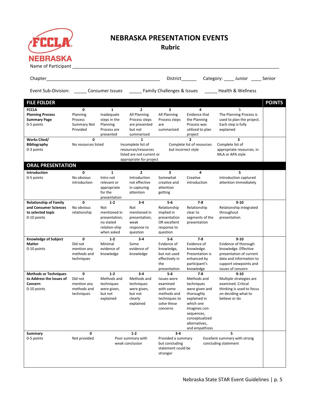

# **NEBRASKA PRESENTATION EVENTS**

**Rubric**

| Chapter                       |                           |                         |                                                  | District                 |                              | Category: _____ Junior _____ Senior                                              |               |
|-------------------------------|---------------------------|-------------------------|--------------------------------------------------|--------------------------|------------------------------|----------------------------------------------------------------------------------|---------------|
|                               |                           |                         |                                                  |                          |                              | Event Sub-Division: Consumer Issues Family Challenges & Issues Health & Wellness |               |
| <b>FILE FOLDER</b>            |                           |                         |                                                  |                          |                              |                                                                                  | <b>POINTS</b> |
| <b>FCCLA</b>                  | 0                         | $\mathbf{1}$            | $\overline{2}$                                   | 3                        | 4                            | 5                                                                                |               |
| <b>Planning Process</b>       | Planning                  | Inadequate              | All Planning                                     | All Planning             | Evidence that                | The Planning Process is                                                          |               |
| <b>Summary Page</b>           | Process                   | steps in the            | Process steps                                    | Process steps            | the Planning                 | used to plan the project.                                                        |               |
| 0-5 points                    | Summary Not               | Planning                | are presented                                    | are                      | Process was                  | Each step is fully                                                               |               |
|                               | Provided                  | Process are             | but not                                          | summarized               | utilized to plan             | explained                                                                        |               |
|                               |                           | presented               | summarized                                       |                          | project                      |                                                                                  |               |
| <b>Works Cited/</b>           | $\mathbf 0$               |                         | $\mathbf{1}$                                     |                          | $\overline{2}$               | 3                                                                                |               |
| <b>Bibliography</b>           | No resources listed       |                         | Incomplete list of                               |                          | Complete list of resources   | Complete list of                                                                 |               |
| 0-3 points                    |                           |                         | resources/resources<br>listed are not current or | but incorrect style      |                              | appropriate resources, in<br>MLA or APA style                                    |               |
|                               |                           |                         | appropriate for project                          |                          |                              |                                                                                  |               |
| <b>ORAL PRESENTATION</b>      |                           |                         |                                                  |                          |                              |                                                                                  |               |
|                               |                           |                         |                                                  |                          |                              |                                                                                  |               |
| <b>Introduction</b>           | 0                         | 1                       | $\overline{2}$                                   | 3                        | 4                            | 5                                                                                |               |
| 0-5 points                    | No obvious                | Intro not               | Introduction                                     | Somewhat                 | Creative                     | Introduction captured                                                            |               |
|                               | introduction              | relevant or             | not effective                                    | creative and             | introduction                 | attention immediately                                                            |               |
|                               |                           | appropriate             | in capturing                                     | attention                |                              |                                                                                  |               |
|                               |                           | for the<br>presentation | attention                                        | getting                  |                              |                                                                                  |               |
| <b>Relationship of Family</b> | 0                         | $1-2$                   | $3 - 4$                                          | $5-6$                    | $7 - 8$                      | $9 - 10$                                                                         |               |
| and Consumer Sciences         | No obvious                | Not                     | Not                                              | Relationship             | Relationship                 | Relationship integrated                                                          |               |
| to selected topic             | relationship              | mentioned in            | mentioned in                                     | implied in               | clear to                     | throughout                                                                       |               |
| 0-10 points                   |                           | presentation;           | presentation;                                    | presentation             | segments of the              | presentation                                                                     |               |
|                               |                           | no stated               | weak                                             | OR excellent             | presentation                 |                                                                                  |               |
|                               |                           | relation-ship           | response to                                      | response to              |                              |                                                                                  |               |
|                               |                           | when asked              | question                                         | question                 |                              |                                                                                  |               |
| <b>Knowledge of Subject</b>   | 0                         | $1-2$                   | $3-4$                                            | $5-6$                    | $7 - 8$                      | $9 - 10$                                                                         |               |
| <b>Matter</b>                 | Did not                   | Minimal                 | Some                                             | Evidence of              | Evidence of                  | Evidence of thorough                                                             |               |
| 0-10 points                   | mention any               | evidence of             | evidence of                                      | knowledge,               | knowledge.                   | knowledge. Effective                                                             |               |
|                               | methods and               | knowledge               | knowledge                                        | but not used             | Presentation is              | presentation of current                                                          |               |
|                               | techniques                |                         |                                                  | effectively in           | enhanced by                  | data and information to                                                          |               |
|                               |                           |                         |                                                  | the                      | participant's                | support viewpoints and                                                           |               |
|                               |                           |                         |                                                  | presentation             | knowledge                    | issues of concern                                                                |               |
| <b>Methods or Techniques</b>  | 0                         | $1 - 2$                 | $3-4$                                            | $5 - 6$                  | $7-8$                        | $9 - 10$                                                                         |               |
| to Address the Issues of      | Did not                   | Methods and             | Methods and                                      | <b>Issues were</b>       | Methods and                  | Multiple strategies are                                                          |               |
| Concern                       | mention any               | techniques              | techniques                                       | examined                 | techniques                   | examined. Critical                                                               |               |
| 0-10 points                   | methods and<br>techniques | were given,<br>but not  | were given,<br>but not                           | with some<br>methods and | were given and<br>thoroughly | thinking is used to focus<br>on deciding what to                                 |               |
|                               |                           | explained               | clearly                                          | techniques to            | explained in                 | believe or do                                                                    |               |
|                               |                           |                         | explained                                        | solve these              | which one                    |                                                                                  |               |
|                               |                           |                         |                                                  | concerns                 | imagines con-                |                                                                                  |               |
|                               |                           |                         |                                                  |                          | sequences,                   |                                                                                  |               |
|                               |                           |                         |                                                  |                          | conceptualized               |                                                                                  |               |
|                               |                           |                         |                                                  |                          | alternatives,                |                                                                                  |               |
|                               |                           |                         |                                                  |                          | and empathizes               |                                                                                  |               |
| Summary                       | 0                         |                         | $1-2$                                            | $3-4$                    |                              | 5                                                                                |               |
| 0-5 points                    | Not provided              |                         | Poor summary with                                | Provided a summary       |                              | Excellent summary with strong                                                    |               |
|                               |                           |                         | weak conclusion                                  | but concluding           |                              | concluding statement                                                             |               |
|                               |                           |                         |                                                  | statement could be       |                              |                                                                                  |               |
|                               |                           |                         |                                                  | stronger                 |                              |                                                                                  |               |